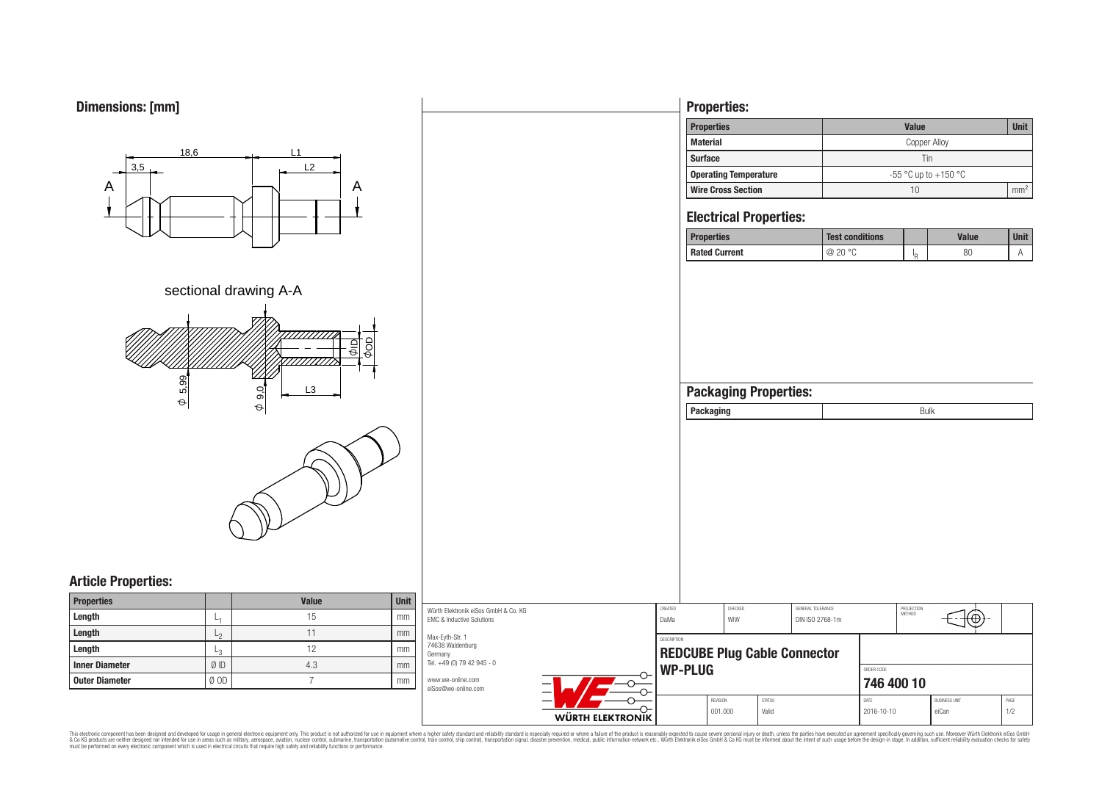



# **Properties:**

| <b>Properties</b>     | <b>Value</b>             | Unit            |
|-----------------------|--------------------------|-----------------|
| Material              | Copper Alloy             |                 |
| Surface               | Tin                      |                 |
| Operating Temperature | $-55$ °C up to $+150$ °C |                 |
| Wire Cross Section    | 10                       | mm <sup>2</sup> |

# **Electrical Properties:**

| <b>Properties</b> | <b>Test conditions</b> |    | Value | <b>Unit</b> |
|-------------------|------------------------|----|-------|-------------|
| Rated Current     | @ 20 °C                | In | 80    |             |

| <b>Packaging Properties:</b> |      |
|------------------------------|------|
| Packaging                    | Bulk |
|                              |      |

# **Article Properties:**

| <b>Properties</b>     |       | <b>Value</b> | <b>Unit</b> |
|-----------------------|-------|--------------|-------------|
| Length                | L1    | 15           | mm          |
| Length                | $L_2$ | 11           | mm          |
| Length                | L3    | 12           | mm          |
| <b>Inner Diameter</b> | ØID   | 4.3          | mm          |
| <b>Outer Diameter</b> | Ø OD  |              | mm          |

| Würth Elektronik eiSos GmbH & Co. KG<br>EMC & Inductive Solutions            |                  | CREATED<br>DaMa                                    |          | CHECKED<br>WIW |                          | GENERAL TOLERANCE<br>DIN ISO 2768-1m |            | PROJECTION<br>METHOD | $+\bigoplus$ $\rightarrow$ |      |
|------------------------------------------------------------------------------|------------------|----------------------------------------------------|----------|----------------|--------------------------|--------------------------------------|------------|----------------------|----------------------------|------|
| Max-Eyth-Str. 1<br>74638 Waldenburg<br>Germanv<br>Tel. +49 (0) 79 42 945 - 0 |                  | DESCRIPTION<br><b>REDCUBE Plug Cable Connector</b> |          |                |                          |                                      |            |                      |                            |      |
| www.we-online.com<br>eiSos@we-online.com                                     |                  | WP-PLUG                                            |          |                | ORDER CODE<br>746 400 10 |                                      |            |                      |                            |      |
|                                                                              |                  |                                                    | REVISION |                | <b>STATUS</b>            |                                      | DATE       |                      | <b>BUSINESS UNIT</b>       | PAGE |
|                                                                              | WIDTH ELEKTRONIK |                                                    | 001.000  |                | Valid                    |                                      | 2016-10-10 |                      | eiCan                      | 1/2  |

This electronic component has been designed and developed for usage in general electronic equipment only. This product is not authorized for subserved requipment where a higher safely standard including only ended in produ